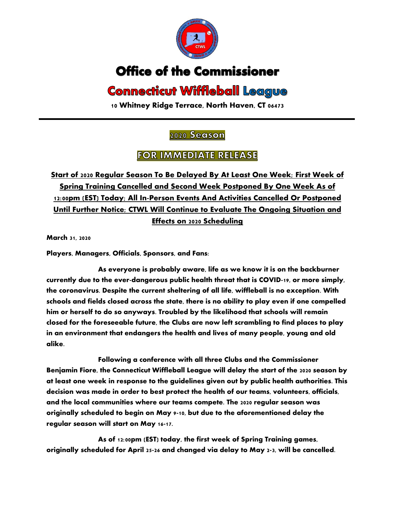

## **Office of the Commissioner**

## **Connecticut Wiffleball League**

**10 Whitney Ridge Terrace, North Haven, CT 06473**

## 2020 Season

## **FOR IMMEDIATE RELEASE**

**Start of 2020 Regular Season To Be Delayed By At Least One Week; First Week of Spring Training Cancelled and Second Week Postponed By One Week As of 12:00pm (EST) Today; All In-Person Events And Activities Cancelled Or Postponed Until Further Notice; CTWL Will Continue to Evaluate The Ongoing Situation and Effects on 2020 Scheduling**

**March 31, 2020**

**Players, Managers, Officials, Sponsors, and Fans:**

**As everyone is probably aware, life as we know it is on the backburner currently due to the ever-dangerous public health threat that is COVID-19, or more simply, the coronavirus. Despite the current sheltering of all life, wiffleball is no exception. With schools and fields closed across the state, there is no ability to play even if one compelled him or herself to do so anyways. Troubled by the likelihood that schools will remain closed for the foreseeable future, the Clubs are now left scrambling to find places to play in an environment that endangers the health and lives of many people, young and old alike.** 

**Following a conference with all three Clubs and the Commissioner Benjamin Fiore, the Connecticut Wiffleball League will delay the start of the 2020 season by at least one week in response to the guidelines given out by public health authorities. This decision was made in order to best protect the health of our teams, volunteers, officials, and the local communities where our teams compete. The 2020 regular season was originally scheduled to begin on May 9-10, but due to the aforementioned delay the regular season will start on May 16-17.** 

**As of 12:00pm (EST) today, the first week of Spring Training games, originally scheduled for April 25-26 and changed via delay to May 2-3, will be cancelled.**